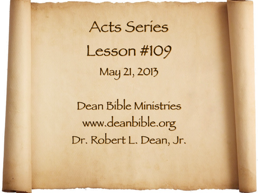Acts Series Lesson #109 May 21, 2013

Dean Bible Ministries [www.deanbible.org](http://www.deanbible.org) [Dr. Robert L. Dean, Jr.](http://www.deanbible.org)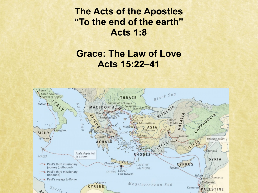**The Acts of the Apostles "To the end of the earth" Acts 1:8**

## **Grace: The Law of Love Acts 15:22–41**

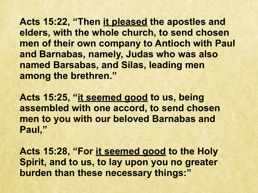**Acts 15:22, "Then it pleased the apostles and elders, with the whole church, to send chosen men of their own company to Antioch with Paul and Barnabas, namely, Judas who was also named Barsabas, and Silas, leading men among the brethren."** 

**Acts 15:25, "it seemed good to us, being assembled with one accord, to send chosen men to you with our beloved Barnabas and Paul,"**

**Acts 15:28, "For it seemed good to the Holy Spirit, and to us, to lay upon you no greater burden than these necessary things:"**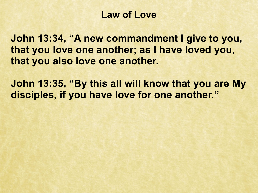### **Law of Love**

**John 13:34, "A new commandment I give to you, that you love one another; as I have loved you, that you also love one another.**

**John 13:35, "By this all will know that you are My disciples, if you have love for one another."**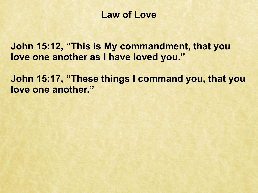### **Law of Love**

**John 15:12, "This is My commandment, that you love one another as I have loved you."**

**John 15:17, "These things I command you, that you love one another."**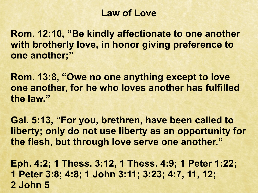### **Law of Love**

**Rom. 12:10, "Be kindly affectionate to one another with brotherly love, in honor giving preference to one another;"**

**Rom. 13:8, "Owe no one anything except to love one another, for he who loves another has fulfilled the law."**

**Gal. 5:13, "For you, brethren, have been called to liberty; only do not use liberty as an opportunity for the flesh, but through love serve one another."**

**Eph. 4:2; 1 Thess. 3:12, 1 Thess. 4:9; 1 Peter 1:22; 1 Peter 3:8; 4:8; 1 John 3:11; 3:23; 4:7, 11, 12; 2 John 5**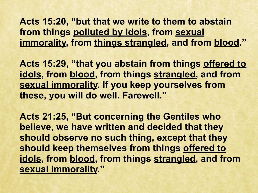**Acts 15:20, "but that we write to them to abstain from things polluted by idols, from sexual immorality, from things strangled, and from blood."** 

**Acts 15:29, "that you abstain from things offered to idols, from blood, from things strangled, and from sexual immorality. If you keep yourselves from these, you will do well. Farewell."**

**Acts 21:25, "But concerning the Gentiles who believe, we have written and decided that they should observe no such thing, except that they should keep themselves from things offered to idols, from blood, from things strangled, and from sexual immorality."**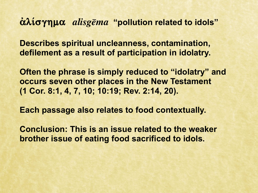### **αλίσγημα** *alisgema* "pollution related to idols"

**Describes spiritual uncleanness, contamination, defilement as a result of participation in idolatry.**

**Often the phrase is simply reduced to "idolatry" and occurs seven other places in the New Testament (1 Cor. 8:1, 4, 7, 10; 10:19; Rev. 2:14, 20).**

**Each passage also relates to food contextually.**

**Conclusion: This is an issue related to the weaker brother issue of eating food sacrificed to idols.**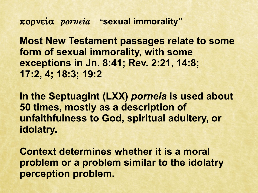**pornei÷a** *porneia* **"sexual immorality"**

**Most New Testament passages relate to some form of sexual immorality, with some exceptions in Jn. 8:41; Rev. 2:21, 14:8; 17:2, 4; 18:3; 19:2**

**In the Septuagint (LXX)** *porneia* **is used about 50 times, mostly as a description of unfaithfulness to God, spiritual adultery, or idolatry.** 

**Context determines whether it is a moral problem or a problem similar to the idolatry perception problem.**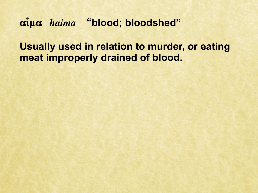# $\alpha$ <sup>*i*</sup>u $\alpha$  *haima* "blood; bloodshed"

**Usually used in relation to murder, or eating meat improperly drained of blood.**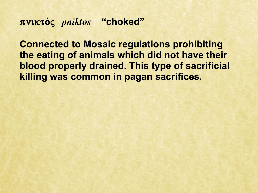**pnikto/ß** *pniktos* **"choked"**

**Connected to Mosaic regulations prohibiting the eating of animals which did not have their blood properly drained. This type of sacrificial killing was common in pagan sacrifices.**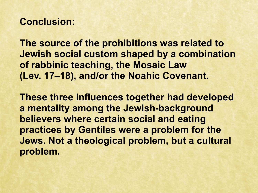#### **Conclusion:**

**The source of the prohibitions was related to Jewish social custom shaped by a combination of rabbinic teaching, the Mosaic Law (Lev. 17–18), and/or the Noahic Covenant.**

**These three influences together had developed a mentality among the Jewish-background believers where certain social and eating practices by Gentiles were a problem for the Jews. Not a theological problem, but a cultural problem.**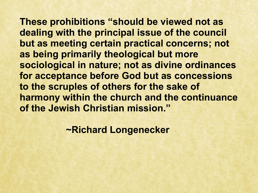**These prohibitions "should be viewed not as dealing with the principal issue of the council but as meeting certain practical concerns; not as being primarily theological but more sociological in nature; not as divine ordinances for acceptance before God but as concessions to the scruples of others for the sake of harmony within the church and the continuance of the Jewish Christian mission."**

 **~Richard Longenecker**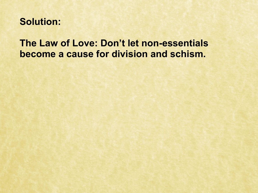### **Solution:**

## **The Law of Love: Don't let non-essentials become a cause for division and schism.**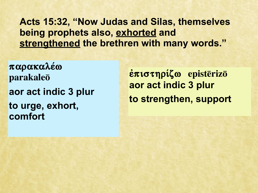**Acts 15:32, "Now Judas and Silas, themselves being prophets also, exhorted and strengthened the brethren with many words."**

**parakale÷w**  parakale<sub>0</sub> **aor act indic 3 plur to urge, exhort, comfort** 

**επιστηρίζω episterizo aor act indic 3 plur to strengthen, support**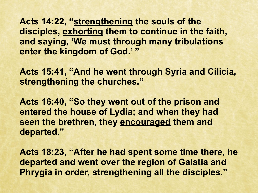Acts 14:22, "strengthening the souls of the **disciples, exhorting them to continue in the faith, and saying, 'We must through many tribulations enter the kingdom of God.' "** 

**Acts 15:41, "And he went through Syria and Cilicia, strengthening the churches."**

**Acts 16:40, "So they went out of the prison and entered the house of Lydia; and when they had seen the brethren, they encouraged them and departed."**

**Acts 18:23, "After he had spent some time there, he departed and went over the region of Galatia and Phrygia in order, strengthening all the disciples."**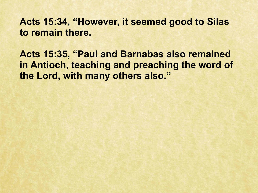**Acts 15:34, "However, it seemed good to Silas to remain there.**

**Acts 15:35, "Paul and Barnabas also remained in Antioch, teaching and preaching the word of the Lord, with many others also."**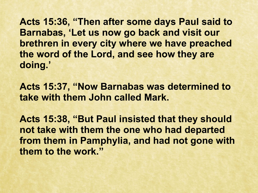**Acts 15:36, "Then after some days Paul said to Barnabas, 'Let us now go back and visit our brethren in every city where we have preached the word of the Lord, and see how they are doing.'** 

**Acts 15:37, "Now Barnabas was determined to take with them John called Mark.** 

**Acts 15:38, "But Paul insisted that they should not take with them the one who had departed from them in Pamphylia, and had not gone with them to the work."**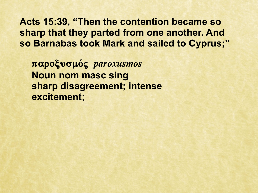**Acts 15:39, "Then the contention became so sharp that they parted from one another. And so Barnabas took Mark and sailed to Cyprus;"**

**paroxusmo/ß** *paroxusmos* **Noun nom masc sing sharp disagreement; intense excitement;**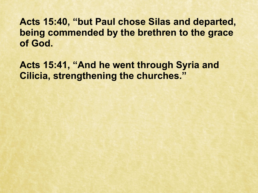**Acts 15:40, "but Paul chose Silas and departed, being commended by the brethren to the grace of God.**

**Acts 15:41, "And he went through Syria and Cilicia, strengthening the churches."**